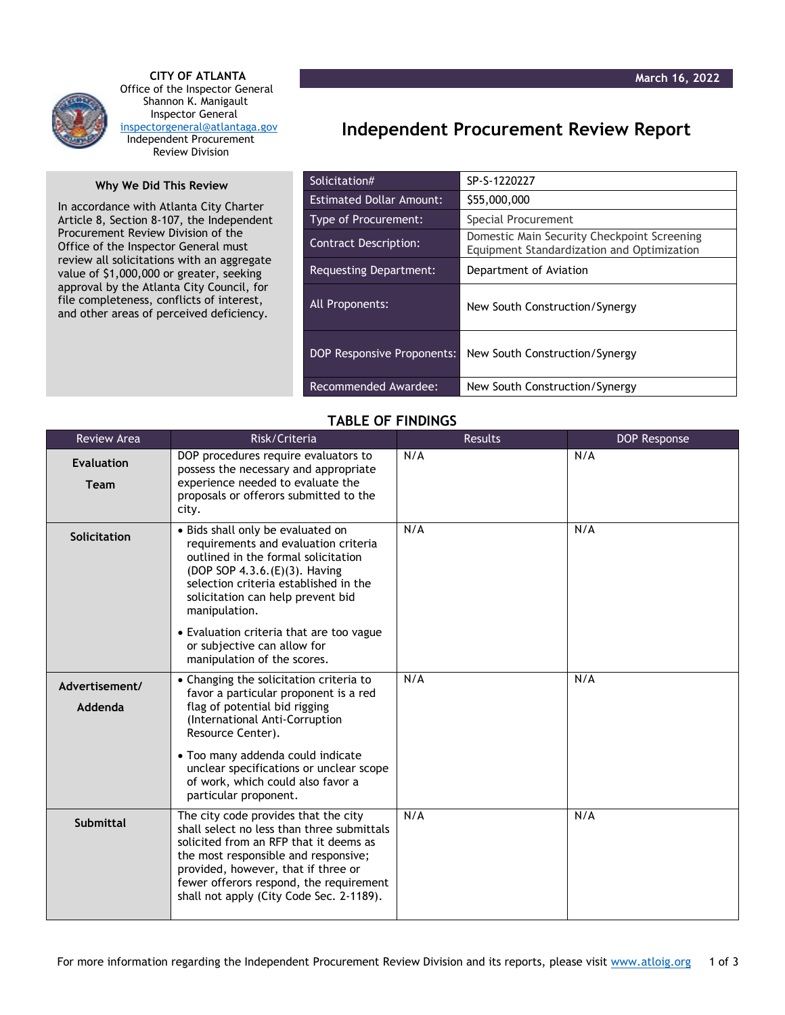

 **CITY OF ATLANTA** Office of the Inspector General Shannon K. Manigault Inspector General [inspectorgeneral@atlantaga.gov](mailto:inspectorgeneral@atlantaga.gov) Independent Procurement Review Division

## **Why We Did This Review**

In accordance with Atlanta City Charter Article 8, Section 8-107, the Independent Procurement Review Division of the Office of the Inspector General must review all solicitations with an aggregate value of \$1,000,000 or greater, seeking approval by the Atlanta City Council, for file completeness, conflicts of interest, and other areas of perceived deficiency.

## **Independent Procurement Review Report**

| Solicitation#                     | SP-S-1220227                                                                              |  |
|-----------------------------------|-------------------------------------------------------------------------------------------|--|
| <b>Estimated Dollar Amount:</b>   | \$55,000,000                                                                              |  |
| Type of Procurement:              | Special Procurement                                                                       |  |
| <b>Contract Description:</b>      | Domestic Main Security Checkpoint Screening<br>Equipment Standardization and Optimization |  |
| <b>Requesting Department:</b>     | Department of Aviation                                                                    |  |
| All Proponents:                   | New South Construction/Synergy                                                            |  |
| <b>DOP Responsive Proponents:</b> | New South Construction/Synergy                                                            |  |
| Recommended Awardee:              | New South Construction/Synergy                                                            |  |

## **TABLE OF FINDINGS**

| <b>Review Area</b>        | Risk/Criteria                                                                                                                                                                                                                                                                                      | <b>Results</b> | <b>DOP Response</b> |
|---------------------------|----------------------------------------------------------------------------------------------------------------------------------------------------------------------------------------------------------------------------------------------------------------------------------------------------|----------------|---------------------|
| <b>Evaluation</b><br>Team | DOP procedures require evaluators to<br>possess the necessary and appropriate<br>experience needed to evaluate the<br>proposals or offerors submitted to the<br>city.                                                                                                                              | N/A            | N/A                 |
| Solicitation              | • Bids shall only be evaluated on<br>requirements and evaluation criteria<br>outlined in the formal solicitation<br>(DOP SOP 4.3.6.(E)(3). Having<br>selection criteria established in the<br>solicitation can help prevent bid<br>manipulation.                                                   | N/A            | N/A                 |
|                           | • Evaluation criteria that are too vague<br>or subjective can allow for<br>manipulation of the scores.                                                                                                                                                                                             |                |                     |
| Advertisement/<br>Addenda | • Changing the solicitation criteria to<br>favor a particular proponent is a red<br>flag of potential bid rigging<br>(International Anti-Corruption<br>Resource Center).                                                                                                                           | N/A            | N/A                 |
|                           | • Too many addenda could indicate<br>unclear specifications or unclear scope<br>of work, which could also favor a<br>particular proponent.                                                                                                                                                         |                |                     |
| <b>Submittal</b>          | The city code provides that the city<br>shall select no less than three submittals<br>solicited from an RFP that it deems as<br>the most responsible and responsive;<br>provided, however, that if three or<br>fewer offerors respond, the requirement<br>shall not apply (City Code Sec. 2-1189). | N/A            | N/A                 |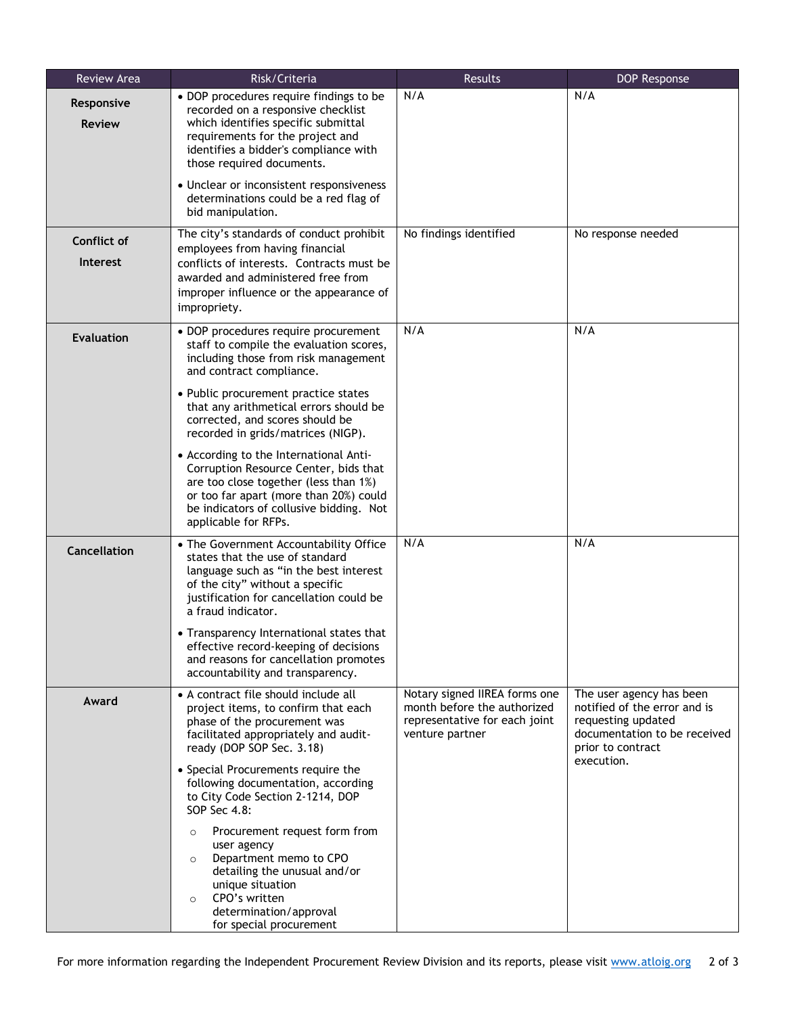| Review Area                    | Risk/Criteria                                                                                                                                                                                                                                                                                                                                                                                                                                                                                                                                           | Results                                                                                                          | DOP Response                                                                                                                                      |
|--------------------------------|---------------------------------------------------------------------------------------------------------------------------------------------------------------------------------------------------------------------------------------------------------------------------------------------------------------------------------------------------------------------------------------------------------------------------------------------------------------------------------------------------------------------------------------------------------|------------------------------------------------------------------------------------------------------------------|---------------------------------------------------------------------------------------------------------------------------------------------------|
| Responsive<br><b>Review</b>    | • DOP procedures require findings to be<br>recorded on a responsive checklist<br>which identifies specific submittal<br>requirements for the project and<br>identifies a bidder's compliance with<br>those required documents.<br>• Unclear or inconsistent responsiveness                                                                                                                                                                                                                                                                              | N/A                                                                                                              | N/A                                                                                                                                               |
|                                | determinations could be a red flag of<br>bid manipulation.                                                                                                                                                                                                                                                                                                                                                                                                                                                                                              |                                                                                                                  |                                                                                                                                                   |
| Conflict of<br><b>Interest</b> | The city's standards of conduct prohibit<br>employees from having financial<br>conflicts of interests. Contracts must be<br>awarded and administered free from<br>improper influence or the appearance of<br>impropriety.                                                                                                                                                                                                                                                                                                                               | No findings identified                                                                                           | No response needed                                                                                                                                |
| <b>Evaluation</b>              | • DOP procedures require procurement<br>staff to compile the evaluation scores,<br>including those from risk management<br>and contract compliance.<br>• Public procurement practice states<br>that any arithmetical errors should be<br>corrected, and scores should be<br>recorded in grids/matrices (NIGP).<br>• According to the International Anti-<br>Corruption Resource Center, bids that<br>are too close together (less than 1%)<br>or too far apart (more than 20%) could<br>be indicators of collusive bidding. Not<br>applicable for RFPs. | N/A                                                                                                              | N/A                                                                                                                                               |
| <b>Cancellation</b>            | • The Government Accountability Office<br>states that the use of standard<br>language such as "in the best interest<br>of the city" without a specific<br>justification for cancellation could be<br>a fraud indicator.<br>• Transparency International states that<br>effective record-keeping of decisions<br>and reasons for cancellation promotes<br>accountability and transparency.                                                                                                                                                               | N/A                                                                                                              | N/A                                                                                                                                               |
| Award                          | • A contract file should include all<br>project items, to confirm that each<br>phase of the procurement was<br>facilitated appropriately and audit-<br>ready (DOP SOP Sec. 3.18)<br>• Special Procurements require the<br>following documentation, according<br>to City Code Section 2-1214, DOP<br>SOP Sec 4.8:<br>Procurement request form from<br>$\circ$<br>user agency<br>Department memo to CPO<br>$\circ$<br>detailing the unusual and/or<br>unique situation<br>CPO's written<br>$\circ$<br>determination/approval<br>for special procurement   | Notary signed IIREA forms one<br>month before the authorized<br>representative for each joint<br>venture partner | The user agency has been<br>notified of the error and is<br>requesting updated<br>documentation to be received<br>prior to contract<br>execution. |